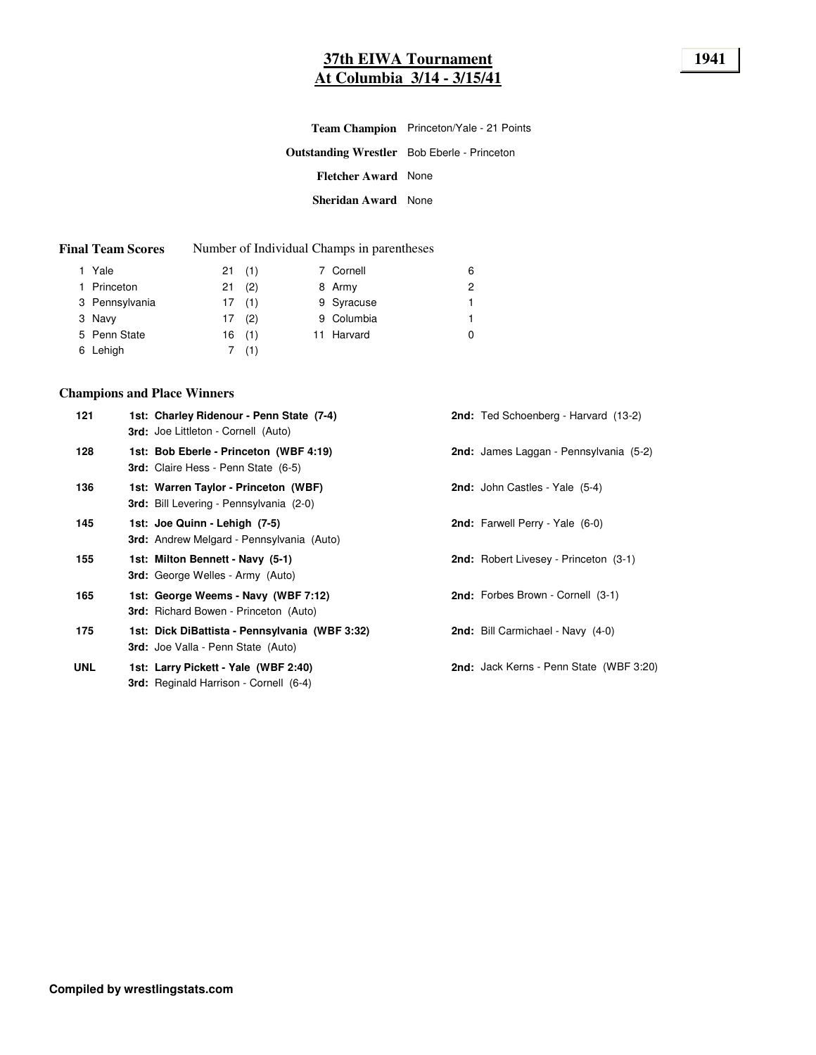# **37th EIWA Tournament 1941 At Columbia 3/14 - 3/15/41**

|                                                    | Team Champion Princeton/Yale - 21 Points |
|----------------------------------------------------|------------------------------------------|
| <b>Outstanding Wrestler</b> Bob Eberle - Princeton |                                          |
| <b>Fletcher Award</b> None                         |                                          |
| Sheridan Award None                                |                                          |

#### **Final Team Scores** Number of Individual Champs in parentheses

| 1 Yale         | 21(1)    |       | 7 Cornell  | 6 |
|----------------|----------|-------|------------|---|
| 1 Princeton    | $21$ (2) |       | 8 Army     | 2 |
| 3 Pennsylvania | 17(1)    |       | 9 Syracuse | 1 |
| 3 Navy         | 17(2)    |       | 9 Columbia | 1 |
| 5 Penn State   |          | 16(1) | 11 Harvard | 0 |
| 6 Lehigh       |          | 7(1)  |            |   |

# **Champions and Place Winners**

| 121        | 1st: Charley Ridenour - Penn State (7-4)<br><b>3rd:</b> Joe Littleton - Cornell (Auto)      | 2nd: Ted Schoenberg - Harvard (13-2)           |
|------------|---------------------------------------------------------------------------------------------|------------------------------------------------|
| 128        | 1st: Bob Eberle - Princeton (WBF 4:19)<br><b>3rd:</b> Claire Hess - Penn State (6-5)        | 2nd: James Laggan - Pennsylvania (5-2)         |
| 136        | 1st: Warren Taylor - Princeton (WBF)<br><b>3rd:</b> Bill Levering - Pennsylvania (2-0)      | <b>2nd:</b> John Castles - Yale (5-4)          |
| 145        | 1st: Joe Quinn - Lehigh (7-5)<br><b>3rd:</b> Andrew Melgard - Pennsylvania (Auto)           | <b>2nd:</b> Farwell Perry - Yale (6-0)         |
| 155        | 1st: Milton Bennett - Navy (5-1)<br><b>3rd:</b> George Welles - Army (Auto)                 | <b>2nd:</b> Robert Livesey - Princeton (3-1)   |
| 165        | 1st: George Weems - Navy (WBF 7:12)<br><b>3rd:</b> Richard Bowen - Princeton (Auto)         | <b>2nd:</b> Forbes Brown - Cornell (3-1)       |
| 175        | 1st: Dick DiBattista - Pennsylvania (WBF 3:32)<br><b>3rd:</b> Joe Valla - Penn State (Auto) | 2nd: Bill Carmichael - Navy (4-0)              |
| <b>UNL</b> | 1st: Larry Pickett - Yale (WBF 2:40)<br><b>3rd:</b> Reginald Harrison - Cornell (6-4)       | <b>2nd:</b> Jack Kerns - Penn State (WBF 3:20) |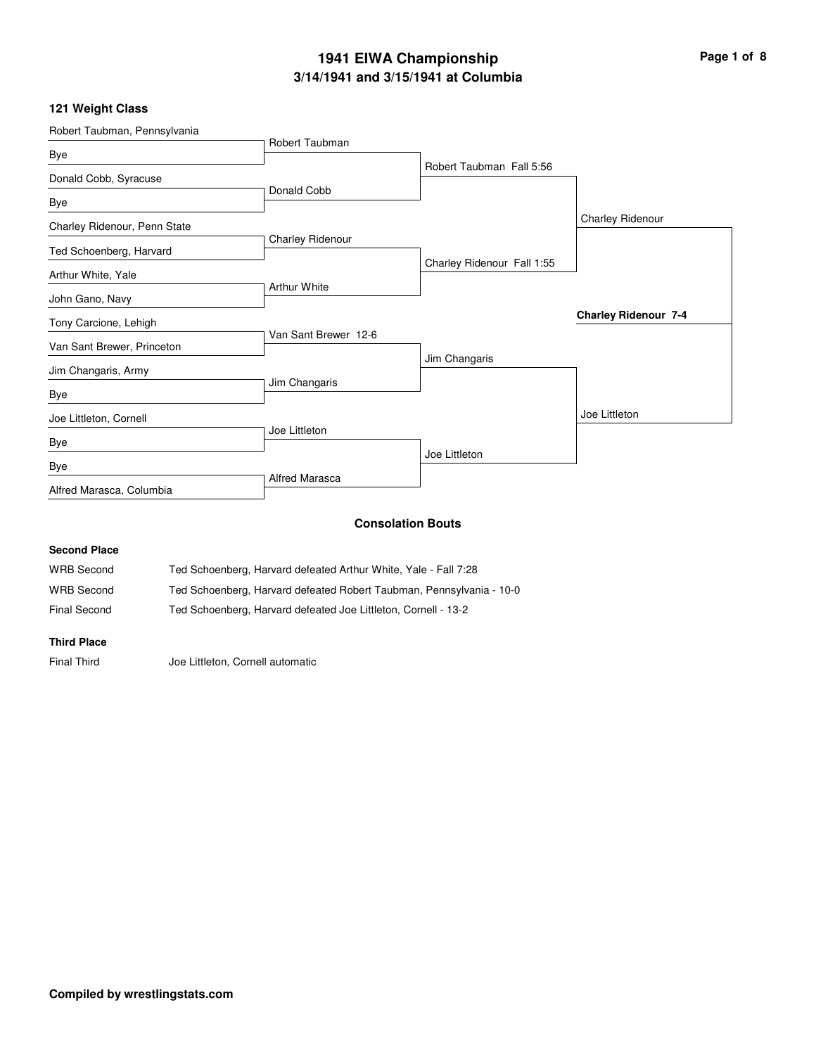# **3/14/1941 and 3/15/1941 at Columbia 1941 EIWA Championship Page 1 of 8**

# **121 Weight Class**

| Robert Taubman, Pennsylvania                           |                                                                      |                            |                             |
|--------------------------------------------------------|----------------------------------------------------------------------|----------------------------|-----------------------------|
| Bye                                                    | Robert Taubman                                                       |                            |                             |
|                                                        |                                                                      | Robert Taubman Fall 5:56   |                             |
| Donald Cobb, Syracuse                                  | Donald Cobb                                                          |                            |                             |
| Bye                                                    |                                                                      |                            |                             |
| Charley Ridenour, Penn State                           |                                                                      |                            | Charley Ridenour            |
| Ted Schoenberg, Harvard                                | <b>Charley Ridenour</b>                                              |                            |                             |
| Arthur White, Yale                                     |                                                                      | Charley Ridenour Fall 1:55 |                             |
|                                                        | <b>Arthur White</b>                                                  |                            |                             |
| John Gano, Navy                                        |                                                                      |                            | <b>Charley Ridenour 7-4</b> |
| Tony Carcione, Lehigh                                  | Van Sant Brewer 12-6                                                 |                            |                             |
| Van Sant Brewer, Princeton                             |                                                                      |                            |                             |
| Jim Changaris, Army                                    |                                                                      | Jim Changaris              |                             |
| Bye                                                    | Jim Changaris                                                        |                            |                             |
|                                                        |                                                                      |                            | Joe Littleton               |
| Joe Littleton, Cornell                                 | Joe Littleton                                                        |                            |                             |
| <b>Bye</b>                                             |                                                                      | Joe Littleton              |                             |
| Bye                                                    |                                                                      |                            |                             |
| Alfred Marasca, Columbia                               | <b>Alfred Marasca</b>                                                |                            |                             |
|                                                        |                                                                      |                            |                             |
|                                                        | <b>Consolation Bouts</b>                                             |                            |                             |
| <b>Second Place</b>                                    |                                                                      |                            |                             |
| <b>WRB</b> Second                                      | Ted Schoenberg, Harvard defeated Arthur White, Yale - Fall 7:28      |                            |                             |
| <b>WRB</b> Second                                      | Ted Schoenberg, Harvard defeated Robert Taubman, Pennsylvania - 10-0 |                            |                             |
| <b>Final Second</b>                                    | Ted Schoenberg, Harvard defeated Joe Littleton, Cornell - 13-2       |                            |                             |
| <b>Third Place</b>                                     |                                                                      |                            |                             |
| <b>Final Third</b><br>Joe Littleton, Cornell automatic |                                                                      |                            |                             |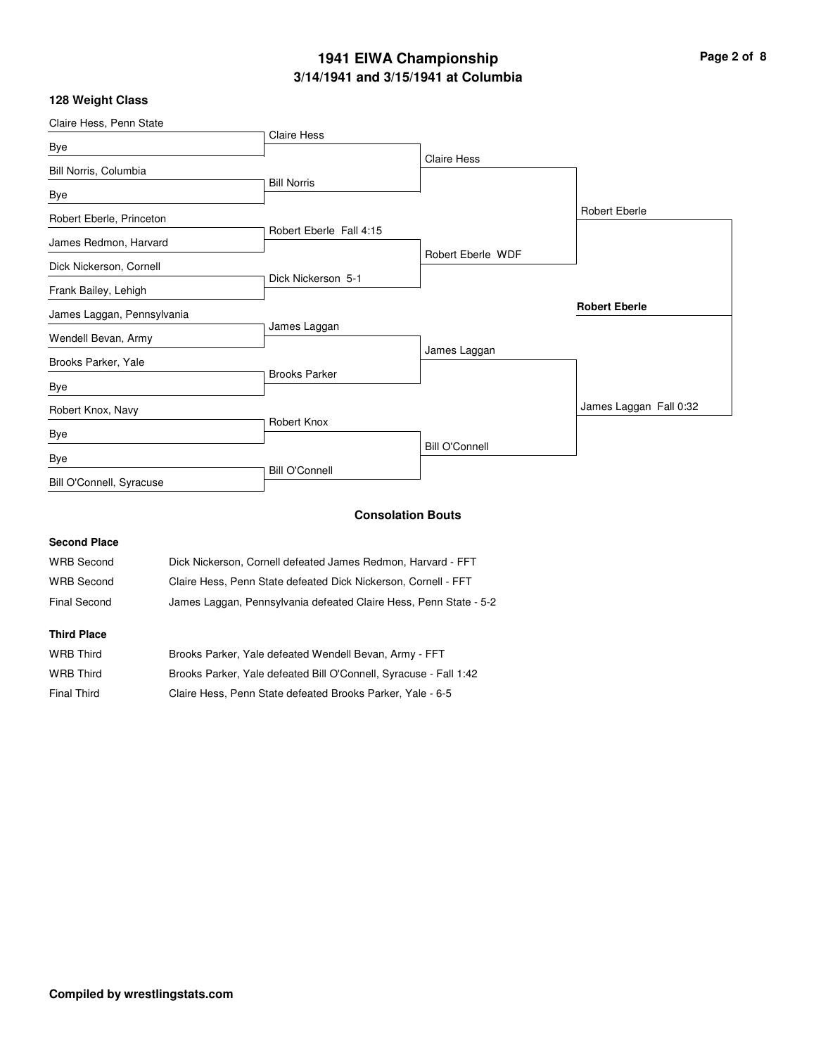# **3/14/1941 and 3/15/1941 at Columbia 1941 EIWA Championship Page 2 of 8**

### **128 Weight Class**

| Claire Hess, Penn State    |                         |                       |                        |
|----------------------------|-------------------------|-----------------------|------------------------|
|                            | <b>Claire Hess</b>      |                       |                        |
| Bye                        |                         | <b>Claire Hess</b>    |                        |
| Bill Norris, Columbia      |                         |                       |                        |
| Bye                        | <b>Bill Norris</b>      |                       |                        |
| Robert Eberle, Princeton   |                         |                       | <b>Robert Eberle</b>   |
| James Redmon, Harvard      | Robert Eberle Fall 4:15 |                       |                        |
| Dick Nickerson, Cornell    |                         | Robert Eberle WDF     |                        |
|                            | Dick Nickerson 5-1      |                       |                        |
| Frank Bailey, Lehigh       |                         |                       |                        |
| James Laggan, Pennsylvania |                         |                       | <b>Robert Eberle</b>   |
| Wendell Bevan, Army        | James Laggan            |                       |                        |
| Brooks Parker, Yale        |                         | James Laggan          |                        |
| Bye                        | <b>Brooks Parker</b>    |                       |                        |
| Robert Knox, Navy          |                         |                       | James Laggan Fall 0:32 |
| Bye                        | Robert Knox             |                       |                        |
| Bye                        |                         | <b>Bill O'Connell</b> |                        |
| Bill O'Connell, Syracuse   | <b>Bill O'Connell</b>   |                       |                        |

### **Consolation Bouts**

### **Second Place**

| <b>WRB Second</b> | Dick Nickerson, Cornell defeated James Redmon, Harvard - FFT      |
|-------------------|-------------------------------------------------------------------|
| WRB Second        | Claire Hess. Penn State defeated Dick Nickerson. Cornell - FFT    |
| Final Second      | James Laggan, Pennsylvania defeated Claire Hess, Penn State - 5-2 |

#### **Third Place**

| WRB Third   | Brooks Parker, Yale defeated Wendell Bevan, Army - FFT            |
|-------------|-------------------------------------------------------------------|
| WRB Third   | Brooks Parker, Yale defeated Bill O'Connell, Syracuse - Fall 1:42 |
| Final Third | Claire Hess, Penn State defeated Brooks Parker, Yale - 6-5        |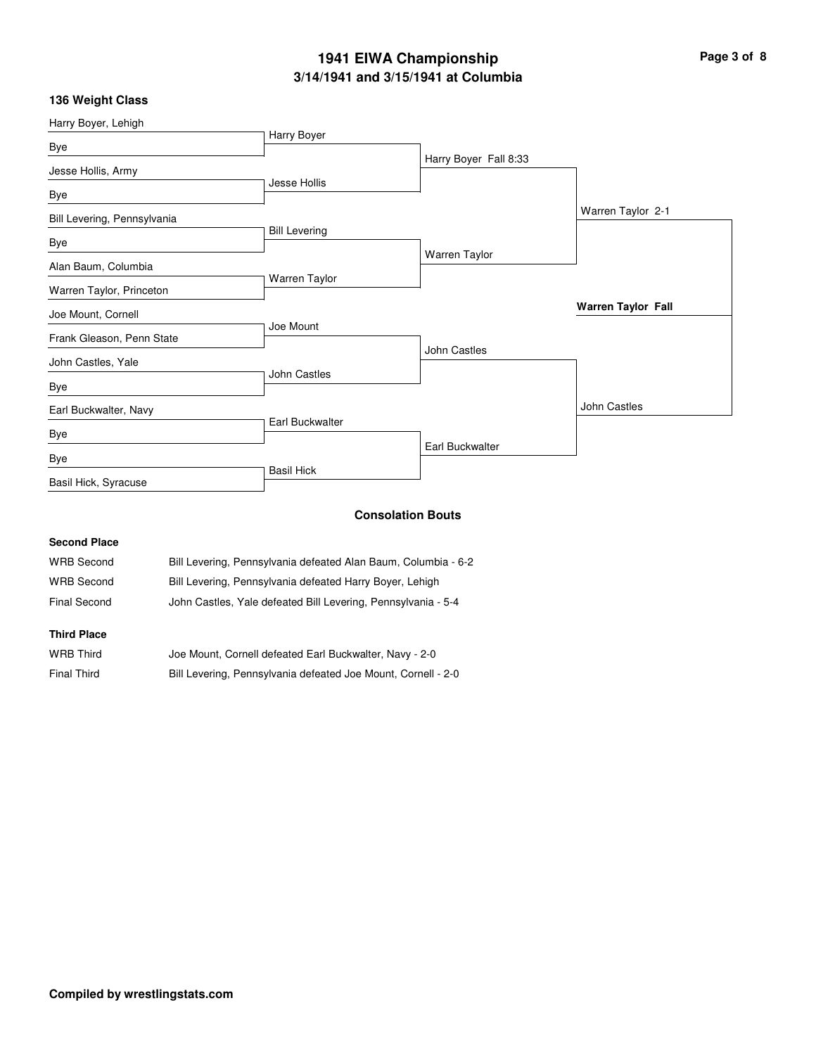# **3/14/1941 and 3/15/1941 at Columbia 1941 EIWA Championship Page 3 of 8**

### **136 Weight Class**

| Harry Boyer, Lehigh         |                      |                       |                           |
|-----------------------------|----------------------|-----------------------|---------------------------|
| Bye                         | Harry Boyer          |                       |                           |
|                             |                      | Harry Boyer Fall 8:33 |                           |
| Jesse Hollis, Army          |                      |                       |                           |
| Bye                         | Jesse Hollis         |                       |                           |
| Bill Levering, Pennsylvania |                      |                       | Warren Taylor 2-1         |
|                             | <b>Bill Levering</b> |                       |                           |
| Bye                         |                      | Warren Taylor         |                           |
| Alan Baum, Columbia         |                      |                       |                           |
| Warren Taylor, Princeton    | Warren Taylor        |                       |                           |
| Joe Mount, Cornell          |                      |                       | <b>Warren Taylor Fall</b> |
|                             | Joe Mount            |                       |                           |
| Frank Gleason, Penn State   |                      | John Castles          |                           |
| John Castles, Yale          |                      |                       |                           |
| Bye                         | <b>John Castles</b>  |                       |                           |
| Earl Buckwalter, Navy       |                      |                       | John Castles              |
| Bye                         | Earl Buckwalter      |                       |                           |
|                             |                      | Earl Buckwalter       |                           |
| Bye                         |                      |                       |                           |
| Basil Hick, Syracuse        | <b>Basil Hick</b>    |                       |                           |
|                             |                      |                       |                           |

### **Consolation Bouts**

### **Second Place**

| <b>WRB Second</b> | Bill Levering, Pennsylvania defeated Alan Baum, Columbia - 6-2 |
|-------------------|----------------------------------------------------------------|
| <b>WRB Second</b> | Bill Levering, Pennsylvania defeated Harry Boyer, Lehigh       |
| Final Second      | John Castles, Yale defeated Bill Levering, Pennsylvania - 5-4  |

#### **Third Place**

| <b>WRB Third</b> | Joe Mount, Cornell defeated Earl Buckwalter, Navy - 2-0       |
|------------------|---------------------------------------------------------------|
| Final Third      | Bill Levering, Pennsylvania defeated Joe Mount, Cornell - 2-0 |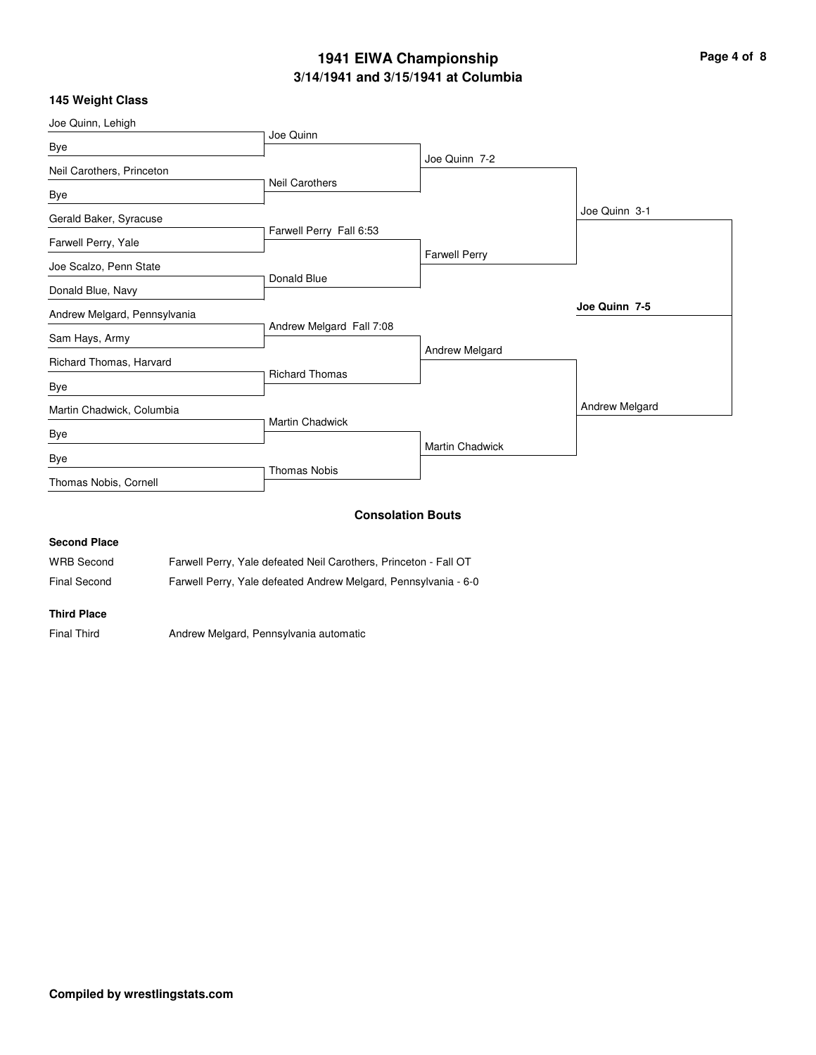# **3/14/1941 and 3/15/1941 at Columbia 1941 EIWA Championship Page 4 of 8**

### **145 Weight Class**

| Joe Quinn, Lehigh            |                          |                          |                |
|------------------------------|--------------------------|--------------------------|----------------|
| Bye                          | Joe Quinn                |                          |                |
|                              |                          | Joe Quinn 7-2            |                |
| Neil Carothers, Princeton    | <b>Neil Carothers</b>    |                          |                |
| Bye                          |                          |                          |                |
| Gerald Baker, Syracuse       |                          |                          | Joe Quinn 3-1  |
|                              | Farwell Perry Fall 6:53  |                          |                |
| Farwell Perry, Yale          |                          | <b>Farwell Perry</b>     |                |
| Joe Scalzo, Penn State       |                          |                          |                |
|                              | Donald Blue              |                          |                |
| Donald Blue, Navy            |                          |                          |                |
| Andrew Melgard, Pennsylvania |                          |                          | Joe Quinn 7-5  |
| Sam Hays, Army               | Andrew Melgard Fall 7:08 |                          |                |
|                              |                          | Andrew Melgard           |                |
| Richard Thomas, Harvard      | <b>Richard Thomas</b>    |                          |                |
| Bye                          |                          |                          |                |
| Martin Chadwick, Columbia    |                          |                          | Andrew Melgard |
|                              | <b>Martin Chadwick</b>   |                          |                |
| Bye                          |                          | <b>Martin Chadwick</b>   |                |
| Bye                          |                          |                          |                |
| Thomas Nobis, Cornell        | <b>Thomas Nobis</b>      |                          |                |
|                              |                          |                          |                |
|                              |                          | <b>Consolation Bouts</b> |                |
|                              |                          |                          |                |

### **Second Place**

| <b>WRB Second</b> | Farwell Perry, Yale defeated Neil Carothers, Princeton - Fall OT |  |
|-------------------|------------------------------------------------------------------|--|
|                   |                                                                  |  |

## Final Second Farwell Perry, Yale defeated Andrew Melgard, Pennsylvania - 6-0

### **Third Place**

Final Third **Andrew Melgard, Pennsylvania automatic**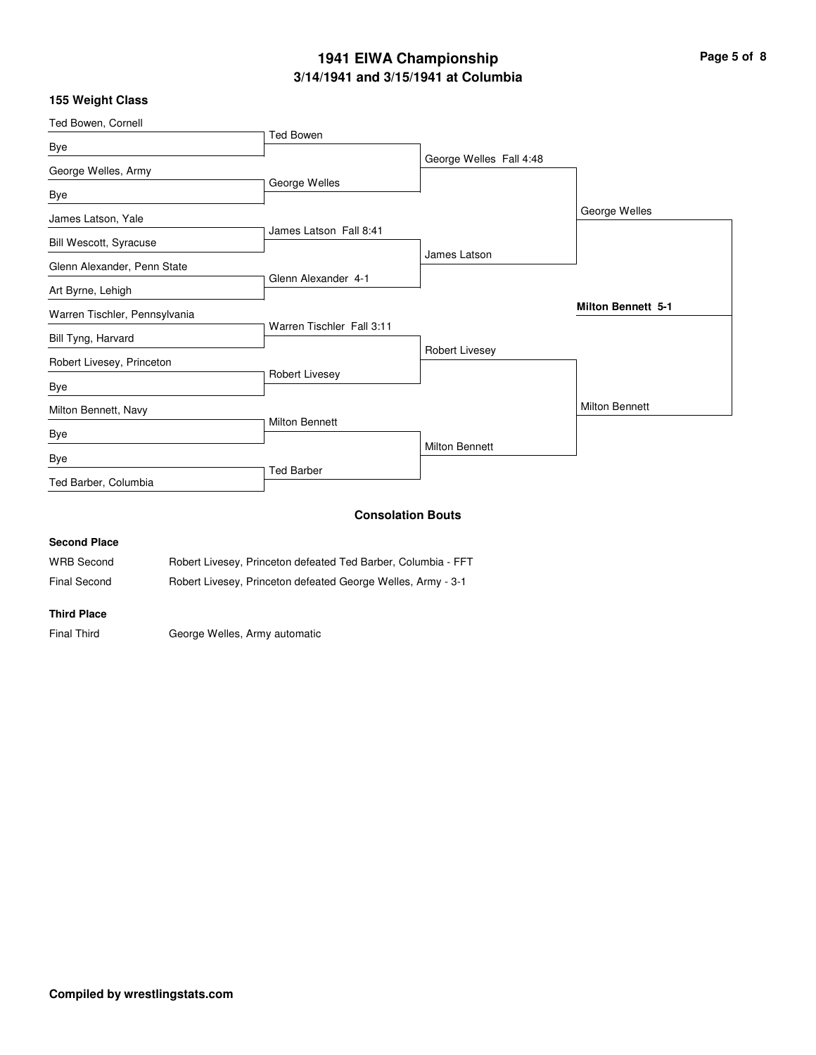# **3/14/1941 and 3/15/1941 at Columbia 1941 EIWA Championship Page 5 of 8**

### **155 Weight Class**

| Ted Bowen, Cornell            |                           |                          |                           |
|-------------------------------|---------------------------|--------------------------|---------------------------|
|                               | <b>Ted Bowen</b>          |                          |                           |
| Bye                           |                           | George Welles Fall 4:48  |                           |
| George Welles, Army           |                           |                          |                           |
| Bye                           | George Welles             |                          |                           |
| James Latson, Yale            |                           |                          | George Welles             |
| Bill Wescott, Syracuse        | James Latson Fall 8:41    |                          |                           |
|                               |                           | James Latson             |                           |
| Glenn Alexander, Penn State   | Glenn Alexander 4-1       |                          |                           |
| Art Byrne, Lehigh             |                           |                          |                           |
| Warren Tischler, Pennsylvania |                           |                          | <b>Milton Bennett 5-1</b> |
| Bill Tyng, Harvard            | Warren Tischler Fall 3:11 |                          |                           |
| Robert Livesey, Princeton     |                           | Robert Livesey           |                           |
| Bye                           | Robert Livesey            |                          |                           |
| Milton Bennett, Navy          |                           |                          | <b>Milton Bennett</b>     |
| Bye                           | <b>Milton Bennett</b>     |                          |                           |
| <b>Bye</b>                    |                           | <b>Milton Bennett</b>    |                           |
|                               | <b>Ted Barber</b>         |                          |                           |
| Ted Barber, Columbia          |                           |                          |                           |
|                               |                           | <b>Consolation Bouts</b> |                           |
| $\sim$ $\sim$ $\sim$          |                           |                          |                           |

#### **Second Place**

| <b>WRB Second</b> |  | Robert Livesey, Princeton defeated Ted Barber, Columbia - FFT |  |  |  |
|-------------------|--|---------------------------------------------------------------|--|--|--|
|                   |  |                                                               |  |  |  |

Final Second Robert Livesey, Princeton defeated George Welles, Army - 3-1

#### **Third Place**

Final Third George Welles, Army automatic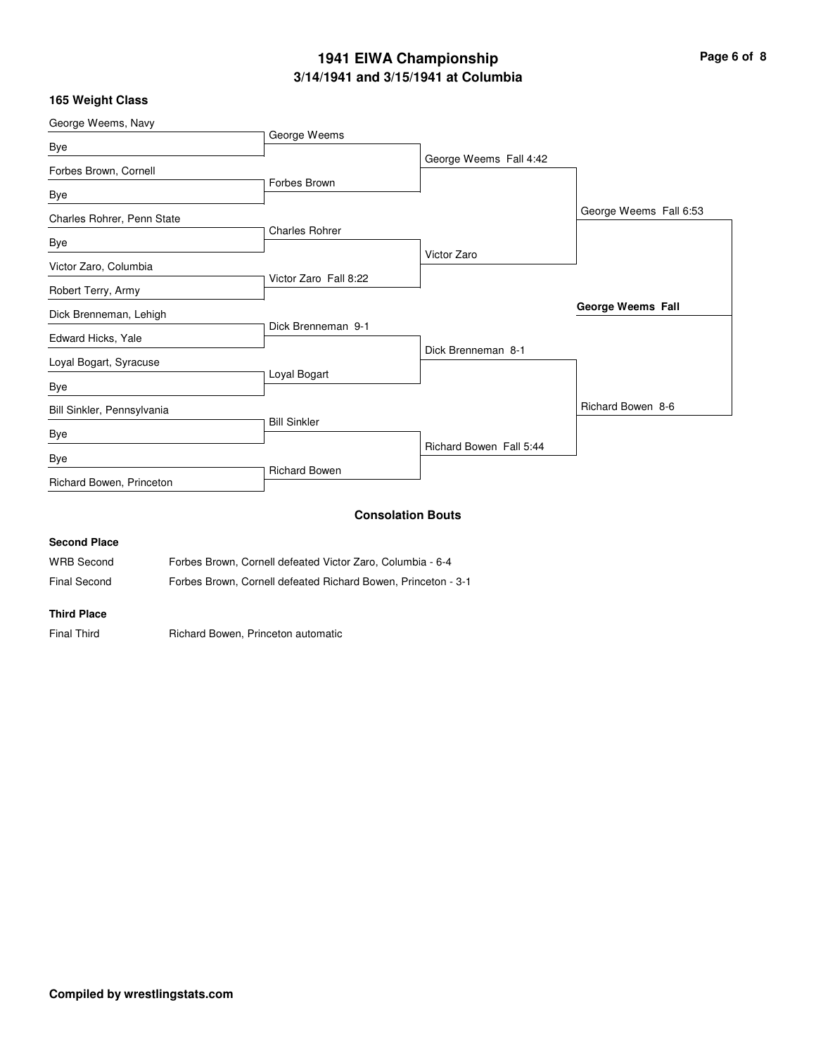# **3/14/1941 and 3/15/1941 at Columbia 1941 EIWA Championship Page 6 of 8**

### **165 Weight Class**

| George Weems, Navy         |                       |                          |                          |
|----------------------------|-----------------------|--------------------------|--------------------------|
| <b>Bye</b>                 | George Weems          |                          |                          |
|                            |                       | George Weems Fall 4:42   |                          |
| Forbes Brown, Cornell      | Forbes Brown          |                          |                          |
| Bye                        |                       |                          |                          |
| Charles Rohrer, Penn State |                       |                          | George Weems Fall 6:53   |
|                            | <b>Charles Rohrer</b> |                          |                          |
| Bye                        |                       | Victor Zaro              |                          |
| Victor Zaro, Columbia      |                       |                          |                          |
| Robert Terry, Army         | Victor Zaro Fall 8:22 |                          |                          |
| Dick Brenneman, Lehigh     |                       |                          | <b>George Weems Fall</b> |
|                            | Dick Brenneman 9-1    |                          |                          |
| Edward Hicks, Yale         |                       | Dick Brenneman 8-1       |                          |
| Loyal Bogart, Syracuse     |                       |                          |                          |
| <b>Bye</b>                 | Loyal Bogart          |                          |                          |
| Bill Sinkler, Pennsylvania |                       |                          | Richard Bowen 8-6        |
| Bye                        | <b>Bill Sinkler</b>   |                          |                          |
|                            |                       | Richard Bowen Fall 5:44  |                          |
| Bye                        | Richard Bowen         |                          |                          |
| Richard Bowen, Princeton   |                       |                          |                          |
|                            |                       | <b>Consolation Bouts</b> |                          |
| <b>Second Place</b>        |                       |                          |                          |

| <b>WRB</b> Second | Forbes Brown, Cornell defeated Victor Zaro, Columbia - 6-4    |
|-------------------|---------------------------------------------------------------|
| Final Second      | Forbes Brown, Cornell defeated Richard Bowen, Princeton - 3-1 |

**Third Place**

Final Third **Richard Bowen, Princeton automatic**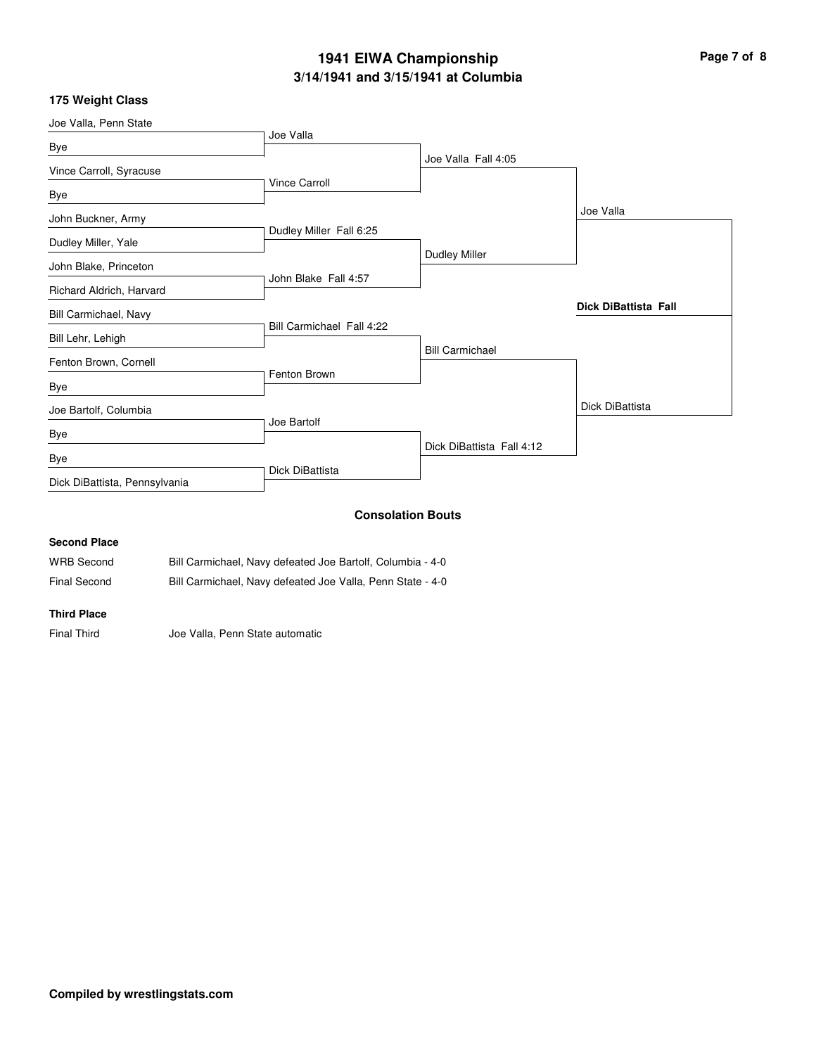# **3/14/1941 and 3/15/1941 at Columbia 1941 EIWA Championship Page 7 of 8**

### **175 Weight Class**

|                               |                           | <b>Consolation Bouts</b>  |                             |
|-------------------------------|---------------------------|---------------------------|-----------------------------|
| Dick DiBattista, Pennsylvania |                           |                           |                             |
| Bye                           | Dick DiBattista           |                           |                             |
| Bye                           |                           | Dick DiBattista Fall 4:12 |                             |
| Joe Bartolf, Columbia         | Joe Bartolf               |                           | Dick DiBattista             |
| Bye                           |                           |                           |                             |
| Fenton Brown, Cornell         | Fenton Brown              |                           |                             |
| Bill Lehr, Lehigh             |                           | <b>Bill Carmichael</b>    |                             |
| Bill Carmichael, Navy         | Bill Carmichael Fall 4:22 |                           | <b>Dick DiBattista Fall</b> |
| Richard Aldrich, Harvard      | John Blake Fall 4:57      |                           |                             |
| John Blake, Princeton         |                           | <b>Dudley Miller</b>      |                             |
| Dudley Miller, Yale           | Dudley Miller Fall 6:25   |                           |                             |
| John Buckner, Army            |                           |                           | Joe Valla                   |
| Bye                           | Vince Carroll             |                           |                             |
| Vince Carroll, Syracuse       |                           | Joe Valla Fall 4:05       |                             |
| Bye                           |                           |                           |                             |
| Joe Valla, Penn State         | Joe Valla                 |                           |                             |

### **Second Place** WRB Second Bill Carmichael, Navy defeated Joe Bartolf, Columbia - 4-0

Final Second Bill Carmichael, Navy defeated Joe Valla, Penn State - 4-0

#### **Third Place**

Final Third Joe Valla, Penn State automatic